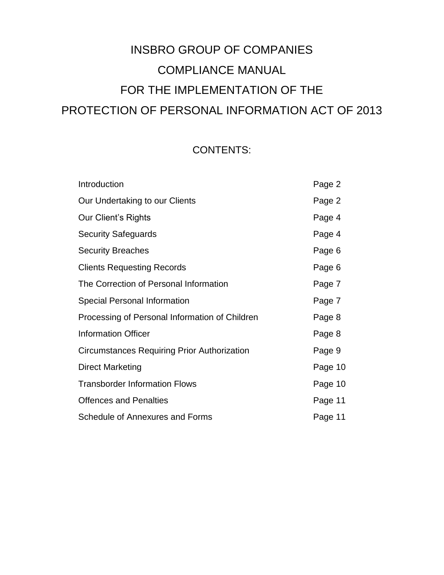# INSBRO GROUP OF COMPANIES COMPLIANCE MANUAL FOR THE IMPLEMENTATION OF THE PROTECTION OF PERSONAL INFORMATION ACT OF 2013

# CONTENTS:

| Introduction                                       | Page 2  |
|----------------------------------------------------|---------|
| Our Undertaking to our Clients                     | Page 2  |
| Our Client's Rights                                | Page 4  |
| <b>Security Safeguards</b>                         | Page 4  |
| <b>Security Breaches</b>                           | Page 6  |
| <b>Clients Requesting Records</b>                  | Page 6  |
| The Correction of Personal Information             | Page 7  |
| <b>Special Personal Information</b>                | Page 7  |
| Processing of Personal Information of Children     | Page 8  |
| <b>Information Officer</b>                         | Page 8  |
| <b>Circumstances Requiring Prior Authorization</b> | Page 9  |
| <b>Direct Marketing</b>                            | Page 10 |
| <b>Transborder Information Flows</b>               | Page 10 |
| <b>Offences and Penalties</b>                      | Page 11 |
| Schedule of Annexures and Forms                    | Page 11 |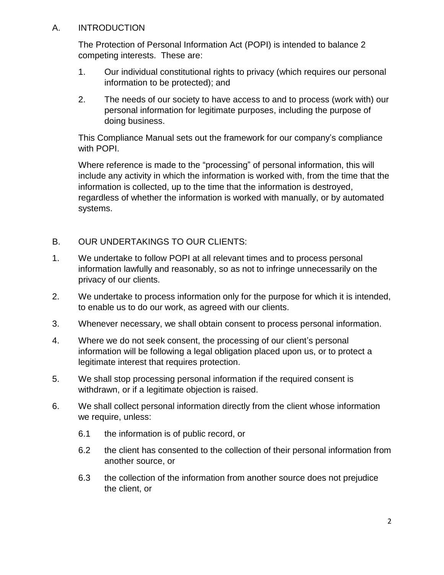#### A. INTRODUCTION

The Protection of Personal Information Act (POPI) is intended to balance 2 competing interests. These are:

- 1. Our individual constitutional rights to privacy (which requires our personal information to be protected); and
- 2. The needs of our society to have access to and to process (work with) our personal information for legitimate purposes, including the purpose of doing business.

This Compliance Manual sets out the framework for our company's compliance with POPI.

Where reference is made to the "processing" of personal information, this will include any activity in which the information is worked with, from the time that the information is collected, up to the time that the information is destroyed, regardless of whether the information is worked with manually, or by automated systems.

- B. OUR UNDERTAKINGS TO OUR CLIENTS:
- 1. We undertake to follow POPI at all relevant times and to process personal information lawfully and reasonably, so as not to infringe unnecessarily on the privacy of our clients.
- 2. We undertake to process information only for the purpose for which it is intended, to enable us to do our work, as agreed with our clients.
- 3. Whenever necessary, we shall obtain consent to process personal information.
- 4. Where we do not seek consent, the processing of our client's personal information will be following a legal obligation placed upon us, or to protect a legitimate interest that requires protection.
- 5. We shall stop processing personal information if the required consent is withdrawn, or if a legitimate objection is raised.
- 6. We shall collect personal information directly from the client whose information we require, unless:
	- 6.1 the information is of public record, or
	- 6.2 the client has consented to the collection of their personal information from another source, or
	- 6.3 the collection of the information from another source does not prejudice the client, or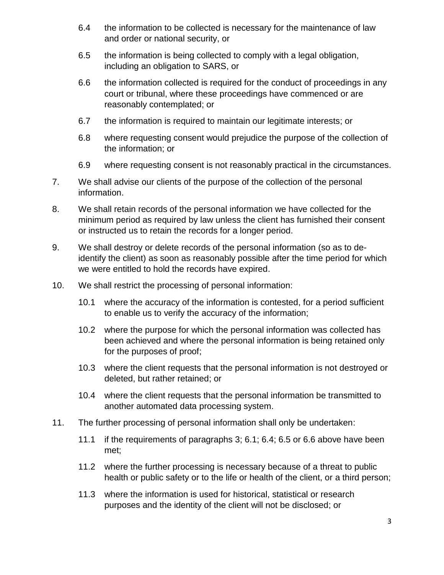- 6.4 the information to be collected is necessary for the maintenance of law and order or national security, or
- 6.5 the information is being collected to comply with a legal obligation, including an obligation to SARS, or
- 6.6 the information collected is required for the conduct of proceedings in any court or tribunal, where these proceedings have commenced or are reasonably contemplated; or
- 6.7 the information is required to maintain our legitimate interests; or
- 6.8 where requesting consent would prejudice the purpose of the collection of the information; or
- 6.9 where requesting consent is not reasonably practical in the circumstances.
- 7. We shall advise our clients of the purpose of the collection of the personal information.
- 8. We shall retain records of the personal information we have collected for the minimum period as required by law unless the client has furnished their consent or instructed us to retain the records for a longer period.
- 9. We shall destroy or delete records of the personal information (so as to deidentify the client) as soon as reasonably possible after the time period for which we were entitled to hold the records have expired.
- 10. We shall restrict the processing of personal information:
	- 10.1 where the accuracy of the information is contested, for a period sufficient to enable us to verify the accuracy of the information;
	- 10.2 where the purpose for which the personal information was collected has been achieved and where the personal information is being retained only for the purposes of proof;
	- 10.3 where the client requests that the personal information is not destroyed or deleted, but rather retained; or
	- 10.4 where the client requests that the personal information be transmitted to another automated data processing system.
- 11. The further processing of personal information shall only be undertaken:
	- 11.1 if the requirements of paragraphs 3; 6.1; 6.4; 6.5 or 6.6 above have been met;
	- 11.2 where the further processing is necessary because of a threat to public health or public safety or to the life or health of the client, or a third person;
	- 11.3 where the information is used for historical, statistical or research purposes and the identity of the client will not be disclosed; or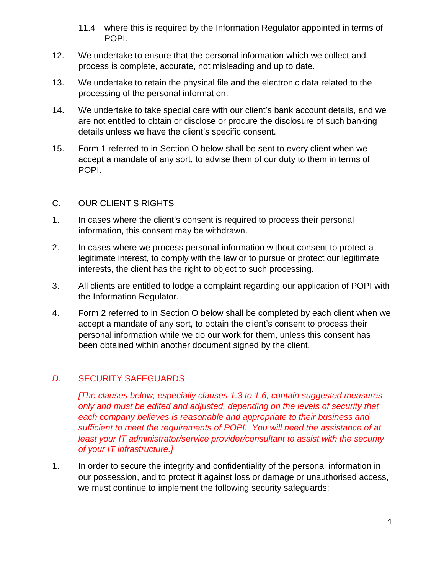- 11.4 where this is required by the Information Regulator appointed in terms of POPI.
- 12. We undertake to ensure that the personal information which we collect and process is complete, accurate, not misleading and up to date.
- 13. We undertake to retain the physical file and the electronic data related to the processing of the personal information.
- 14. We undertake to take special care with our client's bank account details, and we are not entitled to obtain or disclose or procure the disclosure of such banking details unless we have the client's specific consent.
- 15. Form 1 referred to in Section O below shall be sent to every client when we accept a mandate of any sort, to advise them of our duty to them in terms of POPI.

#### C. OUR CLIENT'S RIGHTS

- 1. In cases where the client's consent is required to process their personal information, this consent may be withdrawn.
- 2. In cases where we process personal information without consent to protect a legitimate interest, to comply with the law or to pursue or protect our legitimate interests, the client has the right to object to such processing.
- 3. All clients are entitled to lodge a complaint regarding our application of POPI with the Information Regulator.
- 4. Form 2 referred to in Section O below shall be completed by each client when we accept a mandate of any sort, to obtain the client's consent to process their personal information while we do our work for them, unless this consent has been obtained within another document signed by the client.

#### *D.* SECURITY SAFEGUARDS

*[The clauses below, especially clauses 1.3 to 1.6, contain suggested measures only and must be edited and adjusted, depending on the levels of security that each company believes is reasonable and appropriate to their business and sufficient to meet the requirements of POPI. You will need the assistance of at least your IT administrator/service provider/consultant to assist with the security of your IT infrastructure.]*

1. In order to secure the integrity and confidentiality of the personal information in our possession, and to protect it against loss or damage or unauthorised access, we must continue to implement the following security safeguards: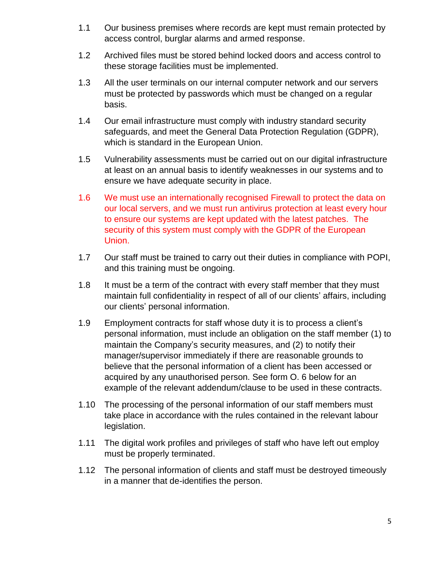- 1.1 Our business premises where records are kept must remain protected by access control, burglar alarms and armed response.
- 1.2 Archived files must be stored behind locked doors and access control to these storage facilities must be implemented.
- 1.3 All the user terminals on our internal computer network and our servers must be protected by passwords which must be changed on a regular basis.
- 1.4 Our email infrastructure must comply with industry standard security safeguards, and meet the General Data Protection Regulation (GDPR), which is standard in the European Union.
- 1.5 Vulnerability assessments must be carried out on our digital infrastructure at least on an annual basis to identify weaknesses in our systems and to ensure we have adequate security in place.
- 1.6 We must use an internationally recognised Firewall to protect the data on our local servers, and we must run antivirus protection at least every hour to ensure our systems are kept updated with the latest patches. The security of this system must comply with the GDPR of the European Union.
- 1.7 Our staff must be trained to carry out their duties in compliance with POPI, and this training must be ongoing.
- 1.8 It must be a term of the contract with every staff member that they must maintain full confidentiality in respect of all of our clients' affairs, including our clients' personal information.
- 1.9 Employment contracts for staff whose duty it is to process a client's personal information, must include an obligation on the staff member (1) to maintain the Company's security measures, and (2) to notify their manager/supervisor immediately if there are reasonable grounds to believe that the personal information of a client has been accessed or acquired by any unauthorised person. See form O. 6 below for an example of the relevant addendum/clause to be used in these contracts.
- 1.10 The processing of the personal information of our staff members must take place in accordance with the rules contained in the relevant labour legislation.
- 1.11 The digital work profiles and privileges of staff who have left out employ must be properly terminated.
- 1.12 The personal information of clients and staff must be destroyed timeously in a manner that de-identifies the person.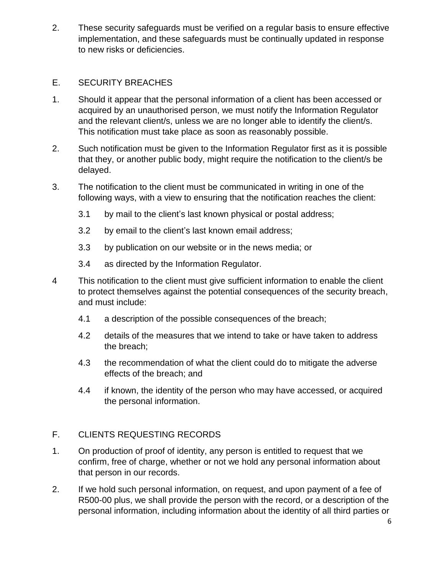2. These security safeguards must be verified on a regular basis to ensure effective implementation, and these safeguards must be continually updated in response to new risks or deficiencies.

### E. SECURITY BREACHES

- 1. Should it appear that the personal information of a client has been accessed or acquired by an unauthorised person, we must notify the Information Regulator and the relevant client/s, unless we are no longer able to identify the client/s. This notification must take place as soon as reasonably possible.
- 2. Such notification must be given to the Information Regulator first as it is possible that they, or another public body, might require the notification to the client/s be delayed.
- 3. The notification to the client must be communicated in writing in one of the following ways, with a view to ensuring that the notification reaches the client:
	- 3.1 by mail to the client's last known physical or postal address;
	- 3.2 by email to the client's last known email address;
	- 3.3 by publication on our website or in the news media; or
	- 3.4 as directed by the Information Regulator.
- 4 This notification to the client must give sufficient information to enable the client to protect themselves against the potential consequences of the security breach, and must include:
	- 4.1 a description of the possible consequences of the breach;
	- 4.2 details of the measures that we intend to take or have taken to address the breach;
	- 4.3 the recommendation of what the client could do to mitigate the adverse effects of the breach; and
	- 4.4 if known, the identity of the person who may have accessed, or acquired the personal information.

# F. CLIENTS REQUESTING RECORDS

- 1. On production of proof of identity, any person is entitled to request that we confirm, free of charge, whether or not we hold any personal information about that person in our records.
- 2. If we hold such personal information, on request, and upon payment of a fee of R500-00 plus, we shall provide the person with the record, or a description of the personal information, including information about the identity of all third parties or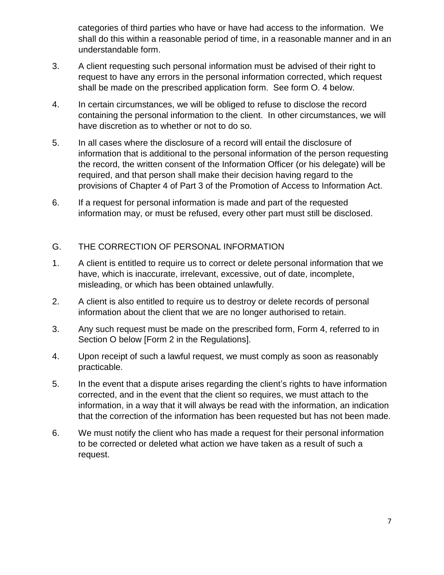categories of third parties who have or have had access to the information. We shall do this within a reasonable period of time, in a reasonable manner and in an understandable form.

- 3. A client requesting such personal information must be advised of their right to request to have any errors in the personal information corrected, which request shall be made on the prescribed application form. See form O. 4 below.
- 4. In certain circumstances, we will be obliged to refuse to disclose the record containing the personal information to the client. In other circumstances, we will have discretion as to whether or not to do so.
- 5. In all cases where the disclosure of a record will entail the disclosure of information that is additional to the personal information of the person requesting the record, the written consent of the Information Officer (or his delegate) will be required, and that person shall make their decision having regard to the provisions of Chapter 4 of Part 3 of the Promotion of Access to Information Act.
- 6. If a request for personal information is made and part of the requested information may, or must be refused, every other part must still be disclosed.

# G. THE CORRECTION OF PERSONAL INFORMATION

- 1. A client is entitled to require us to correct or delete personal information that we have, which is inaccurate, irrelevant, excessive, out of date, incomplete, misleading, or which has been obtained unlawfully.
- 2. A client is also entitled to require us to destroy or delete records of personal information about the client that we are no longer authorised to retain.
- 3. Any such request must be made on the prescribed form, Form 4, referred to in Section O below [Form 2 in the Regulations].
- 4. Upon receipt of such a lawful request, we must comply as soon as reasonably practicable.
- 5. In the event that a dispute arises regarding the client's rights to have information corrected, and in the event that the client so requires, we must attach to the information, in a way that it will always be read with the information, an indication that the correction of the information has been requested but has not been made.
- 6. We must notify the client who has made a request for their personal information to be corrected or deleted what action we have taken as a result of such a request.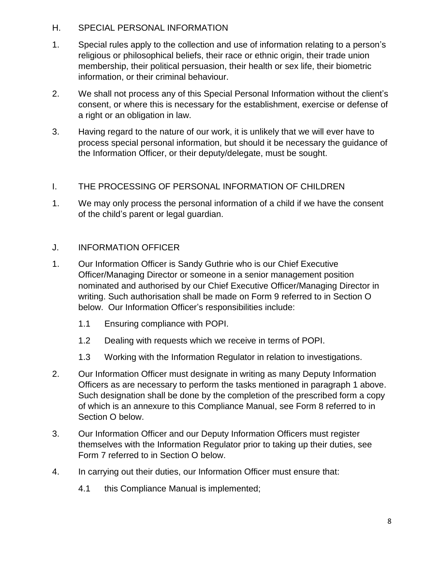#### H. SPECIAL PERSONAL INFORMATION

- 1. Special rules apply to the collection and use of information relating to a person's religious or philosophical beliefs, their race or ethnic origin, their trade union membership, their political persuasion, their health or sex life, their biometric information, or their criminal behaviour.
- 2. We shall not process any of this Special Personal Information without the client's consent, or where this is necessary for the establishment, exercise or defense of a right or an obligation in law.
- 3. Having regard to the nature of our work, it is unlikely that we will ever have to process special personal information, but should it be necessary the guidance of the Information Officer, or their deputy/delegate, must be sought.

# I. THE PROCESSING OF PERSONAL INFORMATION OF CHILDREN

1. We may only process the personal information of a child if we have the consent of the child's parent or legal guardian.

#### J. INFORMATION OFFICER

- 1. Our Information Officer is Sandy Guthrie who is our Chief Executive Officer/Managing Director or someone in a senior management position nominated and authorised by our Chief Executive Officer/Managing Director in writing. Such authorisation shall be made on Form 9 referred to in Section O below. Our Information Officer's responsibilities include:
	- 1.1 Ensuring compliance with POPI.
	- 1.2 Dealing with requests which we receive in terms of POPI.
	- 1.3 Working with the Information Regulator in relation to investigations.
- 2. Our Information Officer must designate in writing as many Deputy Information Officers as are necessary to perform the tasks mentioned in paragraph 1 above. Such designation shall be done by the completion of the prescribed form a copy of which is an annexure to this Compliance Manual, see Form 8 referred to in Section O below.
- 3. Our Information Officer and our Deputy Information Officers must register themselves with the Information Regulator prior to taking up their duties, see Form 7 referred to in Section O below.
- 4. In carrying out their duties, our Information Officer must ensure that:
	- 4.1 this Compliance Manual is implemented;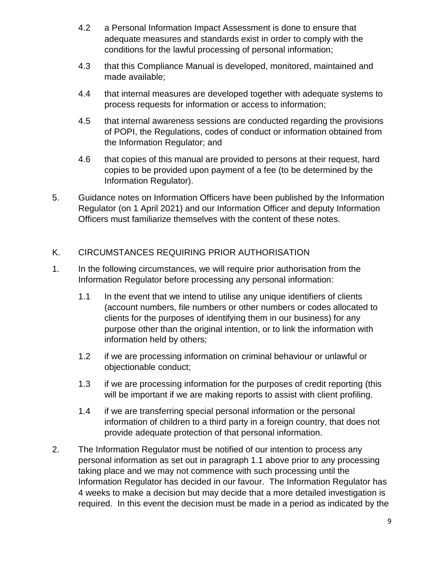- 4.2 a Personal Information Impact Assessment is done to ensure that adequate measures and standards exist in order to comply with the conditions for the lawful processing of personal information;
- 4.3 that this Compliance Manual is developed, monitored, maintained and made available;
- 4.4 that internal measures are developed together with adequate systems to process requests for information or access to information;
- 4.5 that internal awareness sessions are conducted regarding the provisions of POPI, the Regulations, codes of conduct or information obtained from the Information Regulator; and
- 4.6 that copies of this manual are provided to persons at their request, hard copies to be provided upon payment of a fee (to be determined by the Information Regulator).
- 5. Guidance notes on Information Officers have been published by the Information Regulator (on 1 April 2021) and our Information Officer and deputy Information Officers must familiarize themselves with the content of these notes.

# K. CIRCUMSTANCES REQUIRING PRIOR AUTHORISATION

- 1. In the following circumstances, we will require prior authorisation from the Information Regulator before processing any personal information:
	- 1.1 In the event that we intend to utilise any unique identifiers of clients (account numbers, file numbers or other numbers or codes allocated to clients for the purposes of identifying them in our business) for any purpose other than the original intention, or to link the information with information held by others;
	- 1.2 if we are processing information on criminal behaviour or unlawful or objectionable conduct;
	- 1.3 if we are processing information for the purposes of credit reporting (this will be important if we are making reports to assist with client profiling.
	- 1.4 if we are transferring special personal information or the personal information of children to a third party in a foreign country, that does not provide adequate protection of that personal information.
- 2. The Information Regulator must be notified of our intention to process any personal information as set out in paragraph 1.1 above prior to any processing taking place and we may not commence with such processing until the Information Regulator has decided in our favour. The Information Regulator has 4 weeks to make a decision but may decide that a more detailed investigation is required. In this event the decision must be made in a period as indicated by the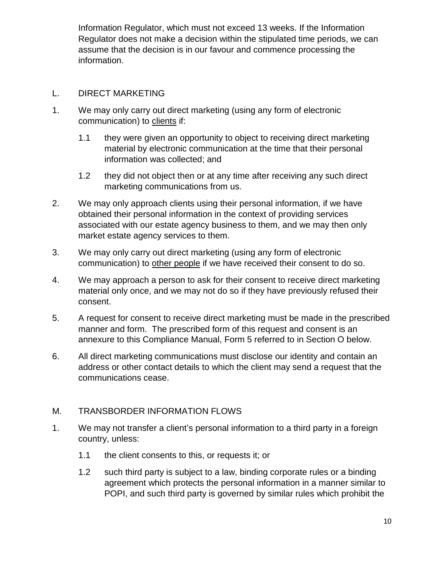Information Regulator, which must not exceed 13 weeks. If the Information Regulator does not make a decision within the stipulated time periods, we can assume that the decision is in our favour and commence processing the information.

#### L. DIRECT MARKETING

- 1. We may only carry out direct marketing (using any form of electronic communication) to clients if:
	- 1.1 they were given an opportunity to object to receiving direct marketing material by electronic communication at the time that their personal information was collected; and
	- 1.2 they did not object then or at any time after receiving any such direct marketing communications from us.
- 2. We may only approach clients using their personal information, if we have obtained their personal information in the context of providing services associated with our estate agency business to them, and we may then only market estate agency services to them.
- 3. We may only carry out direct marketing (using any form of electronic communication) to other people if we have received their consent to do so.
- 4. We may approach a person to ask for their consent to receive direct marketing material only once, and we may not do so if they have previously refused their consent.
- 5. A request for consent to receive direct marketing must be made in the prescribed manner and form. The prescribed form of this request and consent is an annexure to this Compliance Manual, Form 5 referred to in Section O below.
- 6. All direct marketing communications must disclose our identity and contain an address or other contact details to which the client may send a request that the communications cease.

#### M. TRANSBORDER INFORMATION FLOWS

- 1. We may not transfer a client's personal information to a third party in a foreign country, unless:
	- 1.1 the client consents to this, or requests it; or
	- 1.2 such third party is subject to a law, binding corporate rules or a binding agreement which protects the personal information in a manner similar to POPI, and such third party is governed by similar rules which prohibit the